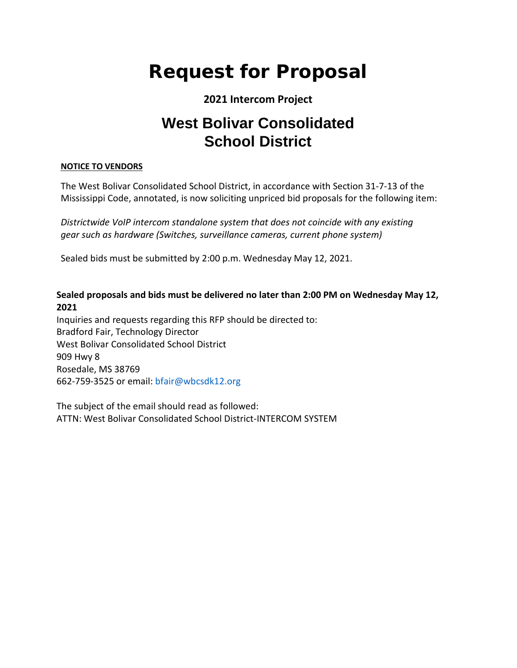# **Request for Proposal**

## **2021 Intercom Project**

# **West Bolivar Consolidated School District**

#### **NOTICE TO VENDORS**

The West Bolivar Consolidated School District, in accordance with Section 31-7-13 of the Mississippi Code, annotated, is now soliciting unpriced bid proposals for the following item:

*Districtwide VoIP intercom standalone system that does not coincide with any existing gear such as hardware (Switches, surveillance cameras, current phone system)*

Sealed bids must be submitted by 2:00 p.m. Wednesday May 12, 2021.

#### **Sealed proposals and bids must be delivered no later than 2:00 PM on Wednesday May 12, 2021**

Inquiries and requests regarding this RFP should be directed to: Bradford Fair, Technology Director West Bolivar Consolidated School District 909 Hwy 8 Rosedale, MS 38769 662-759-3525 or email: bfair@wbcsdk12.org

The subject of the email should read as followed: ATTN: West Bolivar Consolidated School District-INTERCOM SYSTEM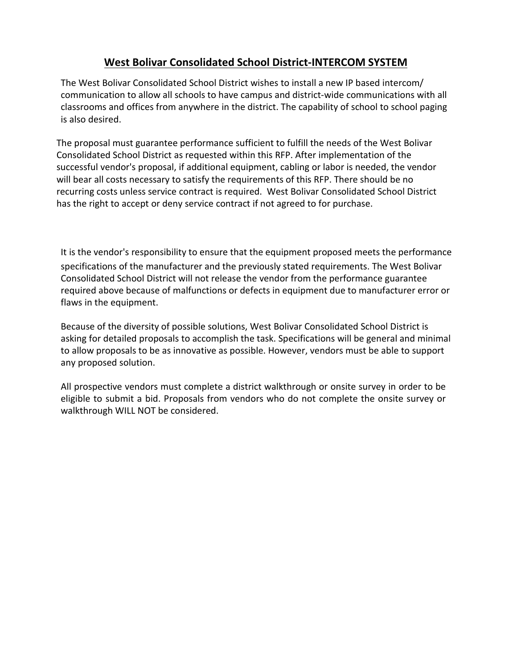### **West Bolivar Consolidated School District-INTERCOM SYSTEM**

The West Bolivar Consolidated School District wishes to install a new IP based intercom/ communication to allow all schools to have campus and district-wide communications with all classrooms and offices from anywhere in the district. The capability of school to school paging is also desired.

The proposal must guarantee performance sufficient to fulfill the needs of the West Bolivar Consolidated School District as requested within this RFP. After implementation of the successful vendor's proposal, if additional equipment, cabling or labor is needed, the vendor will bear all costs necessary to satisfy the requirements of this RFP. There should be no recurring costs unless service contract is required. West Bolivar Consolidated School District has the right to accept or deny service contract if not agreed to for purchase.

It is the vendor's responsibility to ensure that the equipment proposed meets the performance specifications of the manufacturer and the previously stated requirements. The West Bolivar Consolidated School District will not release the vendor from the performance guarantee required above because of malfunctions or defects in equipment due to manufacturer error or flaws in the equipment.

Because of the diversity of possible solutions, West Bolivar Consolidated School District is asking for detailed proposals to accomplish the task. Specifications will be general and minimal to allow proposals to be as innovative as possible. However, vendors must be able to support any proposed solution.

All prospective vendors must complete a district walkthrough or onsite survey in order to be eligible to submit a bid. Proposals from vendors who do not complete the onsite survey or walkthrough WILL NOT be considered.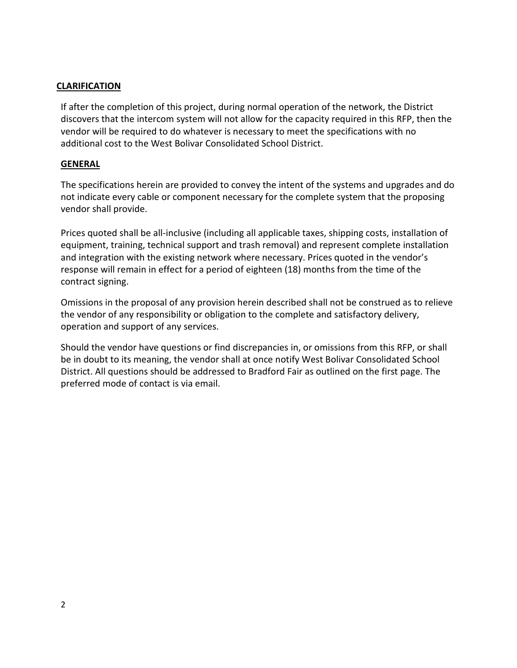#### **CLARIFICATION**

If after the completion of this project, during normal operation of the network, the District discovers that the intercom system will not allow for the capacity required in this RFP, then the vendor will be required to do whatever is necessary to meet the specifications with no additional cost to the West Bolivar Consolidated School District.

#### **GENERAL**

The specifications herein are provided to convey the intent of the systems and upgrades and do not indicate every cable or component necessary for the complete system that the proposing vendor shall provide.

Prices quoted shall be all-inclusive (including all applicable taxes, shipping costs, installation of equipment, training, technical support and trash removal) and represent complete installation and integration with the existing network where necessary. Prices quoted in the vendor's response will remain in effect for a period of eighteen (18) months from the time of the contract signing.

Omissions in the proposal of any provision herein described shall not be construed as to relieve the vendor of any responsibility or obligation to the complete and satisfactory delivery, operation and support of any services.

Should the vendor have questions or find discrepancies in, or omissions from this RFP, or shall be in doubt to its meaning, the vendor shall at once notify West Bolivar Consolidated School District. All questions should be addressed to Bradford Fair as outlined on the first page. The preferred mode of contact is via email.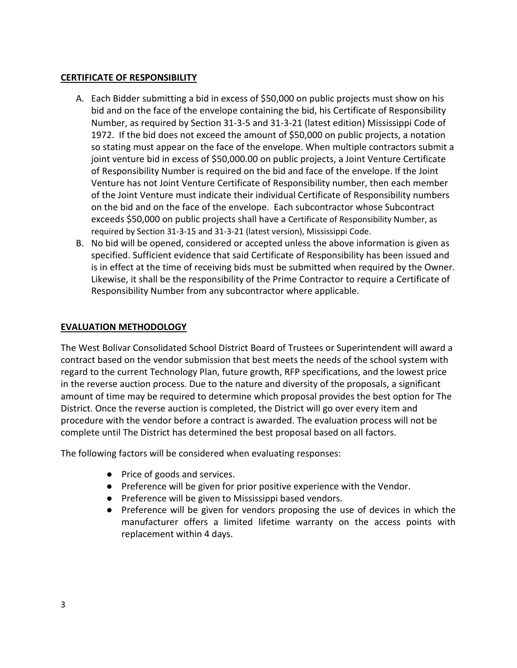#### **CERTIFICATE OF RESPONSIBILITY**

- A. Each Bidder submitting a bid in excess of \$50,000 on public projects must show on his bid and on the face of the envelope containing the bid, his Certificate of Responsibility Number, as required by Section 31-3-5 and 31-3-21 (latest edition) Mississippi Code of 1972. If the bid does not exceed the amount of \$50,000 on public projects, a notation so stating must appear on the face of the envelope. When multiple contractors submit a joint venture bid in excess of \$50,000.00 on public projects, a Joint Venture Certificate of Responsibility Number is required on the bid and face of the envelope. If the Joint Venture has not Joint Venture Certificate of Responsibility number, then each member of the Joint Venture must indicate their individual Certificate of Responsibility numbers on the bid and on the face of the envelope. Each subcontractor whose Subcontract exceeds \$50,000 on public projects shall have a Certificate of Responsibility Number, as required by Section 31-3-15 and 31-3-21 (latest version), Mississippi Code.
- B. No bid will be opened, considered or accepted unless the above information is given as specified. Sufficient evidence that said Certificate of Responsibility has been issued and is in effect at the time of receiving bids must be submitted when required by the Owner. Likewise, it shall be the responsibility of the Prime Contractor to require a Certificate of Responsibility Number from any subcontractor where applicable.

#### **EVALUATION METHODOLOGY**

The West Bolivar Consolidated School District Board of Trustees or Superintendent will award a contract based on the vendor submission that best meets the needs of the school system with regard to the current Technology Plan, future growth, RFP specifications, and the lowest price in the reverse auction process. Due to the nature and diversity of the proposals, a significant amount of time may be required to determine which proposal provides the best option for The District. Once the reverse auction is completed, the District will go over every item and procedure with the vendor before a contract is awarded. The evaluation process will not be complete until The District has determined the best proposal based on all factors.

The following factors will be considered when evaluating responses:

- Price of goods and services.
- Preference will be given for prior positive experience with the Vendor.
- Preference will be given to Mississippi based vendors.
- Preference will be given for vendors proposing the use of devices in which the manufacturer offers a limited lifetime warranty on the access points with replacement within 4 days.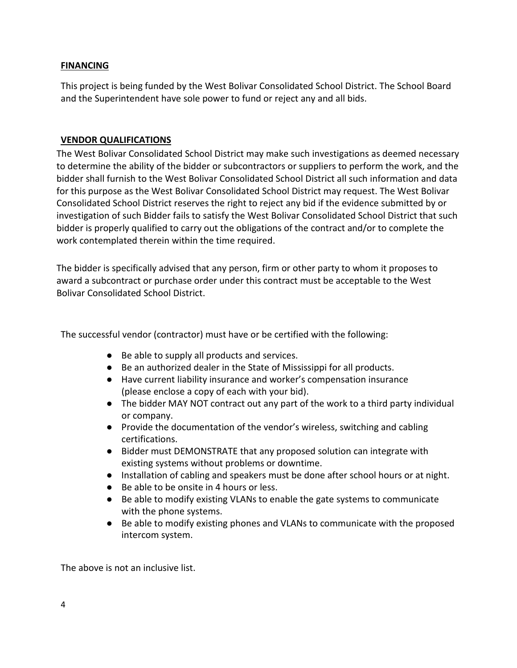#### **FINANCING**

This project is being funded by the West Bolivar Consolidated School District. The School Board and the Superintendent have sole power to fund or reject any and all bids.

#### **VENDOR QUALIFICATIONS**

The West Bolivar Consolidated School District may make such investigations as deemed necessary to determine the ability of the bidder or subcontractors or suppliers to perform the work, and the bidder shall furnish to the West Bolivar Consolidated School District all such information and data for this purpose as the West Bolivar Consolidated School District may request. The West Bolivar Consolidated School District reserves the right to reject any bid if the evidence submitted by or investigation of such Bidder fails to satisfy the West Bolivar Consolidated School District that such bidder is properly qualified to carry out the obligations of the contract and/or to complete the work contemplated therein within the time required.

The bidder is specifically advised that any person, firm or other party to whom it proposes to award a subcontract or purchase order under this contract must be acceptable to the West Bolivar Consolidated School District.

The successful vendor (contractor) must have or be certified with the following:

- Be able to supply all products and services.
- Be an authorized dealer in the State of Mississippi for all products.
- Have current liability insurance and worker's compensation insurance (please enclose a copy of each with your bid).
- The bidder MAY NOT contract out any part of the work to a third party individual or company.
- Provide the documentation of the vendor's wireless, switching and cabling certifications.
- Bidder must DEMONSTRATE that any proposed solution can integrate with existing systems without problems or downtime.
- Installation of cabling and speakers must be done after school hours or at night.
- Be able to be onsite in 4 hours or less.
- Be able to modify existing VLANs to enable the gate systems to communicate with the phone systems.
- Be able to modify existing phones and VLANs to communicate with the proposed intercom system.

The above is not an inclusive list.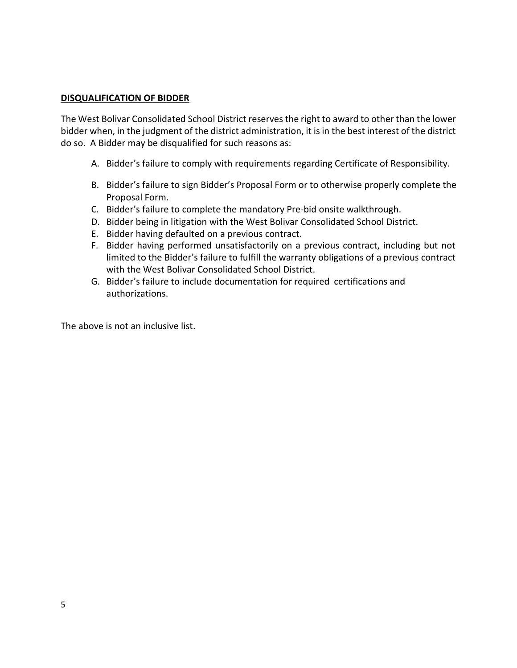#### **DISQUALIFICATION OF BIDDER**

The West Bolivar Consolidated School District reserves the right to award to other than the lower bidder when, in the judgment of the district administration, it is in the best interest of the district do so. A Bidder may be disqualified for such reasons as:

- A. Bidder's failure to comply with requirements regarding Certificate of Responsibility.
- B. Bidder's failure to sign Bidder's Proposal Form or to otherwise properly complete the Proposal Form.
- C. Bidder's failure to complete the mandatory Pre-bid onsite walkthrough.
- D. Bidder being in litigation with the West Bolivar Consolidated School District.
- E. Bidder having defaulted on a previous contract.
- F. Bidder having performed unsatisfactorily on a previous contract, including but not limited to the Bidder's failure to fulfill the warranty obligations of a previous contract with the West Bolivar Consolidated School District.
- G. Bidder's failure to include documentation for required certifications and authorizations.

The above is not an inclusive list.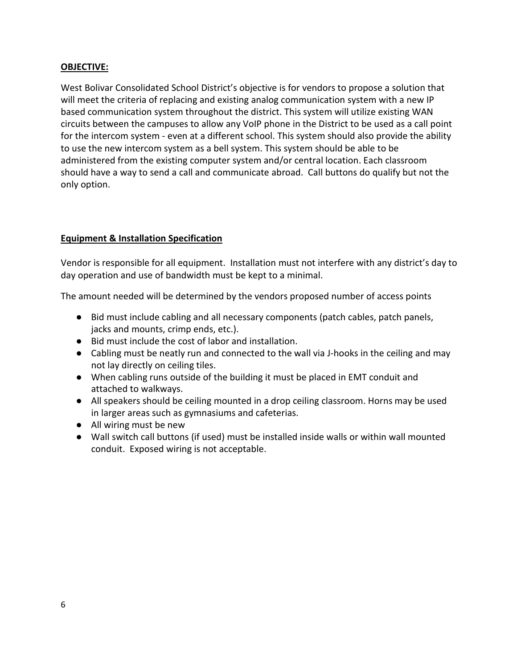#### **OBJECTIVE:**

West Bolivar Consolidated School District's objective is for vendors to propose a solution that will meet the criteria of replacing and existing analog communication system with a new IP based communication system throughout the district. This system will utilize existing WAN circuits between the campuses to allow any VoIP phone in the District to be used as a call point for the intercom system - even at a different school. This system should also provide the ability to use the new intercom system as a bell system. This system should be able to be administered from the existing computer system and/or central location. Each classroom should have a way to send a call and communicate abroad. Call buttons do qualify but not the only option.

#### **Equipment & Installation Specification**

Vendor is responsible for all equipment. Installation must not interfere with any district's day to day operation and use of bandwidth must be kept to a minimal.

The amount needed will be determined by the vendors proposed number of access points

- Bid must include cabling and all necessary components (patch cables, patch panels, jacks and mounts, crimp ends, etc.).
- Bid must include the cost of labor and installation.
- Cabling must be neatly run and connected to the wall via J-hooks in the ceiling and may not lay directly on ceiling tiles.
- When cabling runs outside of the building it must be placed in EMT conduit and attached to walkways.
- All speakers should be ceiling mounted in a drop ceiling classroom. Horns may be used in larger areas such as gymnasiums and cafeterias.
- All wiring must be new
- Wall switch call buttons (if used) must be installed inside walls or within wall mounted conduit. Exposed wiring is not acceptable.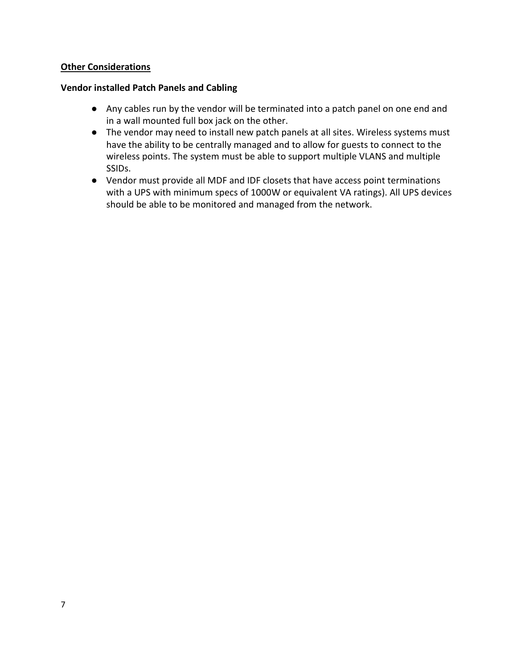#### **Other Considerations**

#### **Vendor installed Patch Panels and Cabling**

- Any cables run by the vendor will be terminated into a patch panel on one end and in a wall mounted full box jack on the other.
- The vendor may need to install new patch panels at all sites. Wireless systems must have the ability to be centrally managed and to allow for guests to connect to the wireless points. The system must be able to support multiple VLANS and multiple SSIDs.
- **●** Vendor must provide all MDF and IDF closets that have access point terminations with a UPS with minimum specs of 1000W or equivalent VA ratings). All UPS devices should be able to be monitored and managed from the network.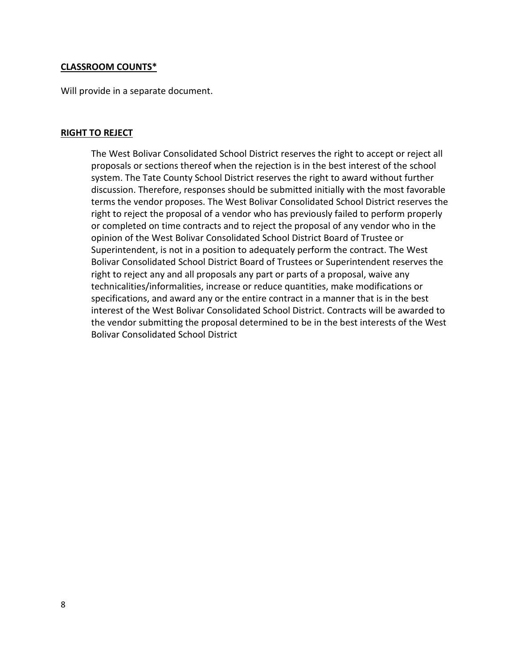#### **CLASSROOM COUNTS\***

Will provide in a separate document.

#### **RIGHT TO REJECT**

The West Bolivar Consolidated School District reserves the right to accept or reject all proposals or sections thereof when the rejection is in the best interest of the school system. The Tate County School District reserves the right to award without further discussion. Therefore, responses should be submitted initially with the most favorable terms the vendor proposes. The West Bolivar Consolidated School District reserves the right to reject the proposal of a vendor who has previously failed to perform properly or completed on time contracts and to reject the proposal of any vendor who in the opinion of the West Bolivar Consolidated School District Board of Trustee or Superintendent, is not in a position to adequately perform the contract. The West Bolivar Consolidated School District Board of Trustees or Superintendent reserves the right to reject any and all proposals any part or parts of a proposal, waive any technicalities/informalities, increase or reduce quantities, make modifications or specifications, and award any or the entire contract in a manner that is in the best interest of the West Bolivar Consolidated School District. Contracts will be awarded to the vendor submitting the proposal determined to be in the best interests of the West Bolivar Consolidated School District